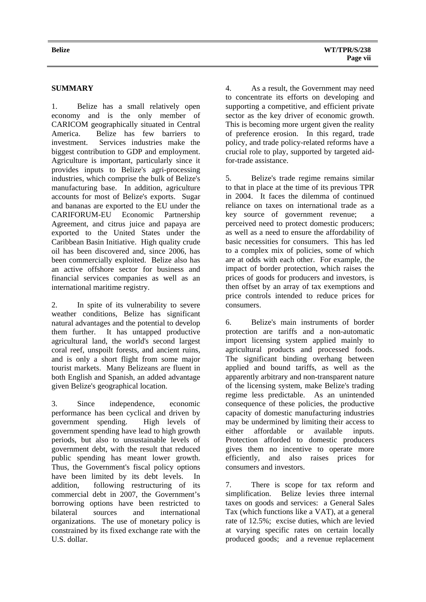## **SUMMARY**

1. Belize has a small relatively open economy and is the only member of CARICOM geographically situated in Central America. Belize has few barriers to investment. Services industries make the biggest contribution to GDP and employment. Agriculture is important, particularly since it provides inputs to Belize's agri-processing industries, which comprise the bulk of Belize's manufacturing base. In addition, agriculture accounts for most of Belize's exports. Sugar and bananas are exported to the EU under the CARIFORUM-EU Economic Partnership Agreement, and citrus juice and papaya are exported to the United States under the Caribbean Basin Initiative. High quality crude oil has been discovered and, since 2006, has been commercially exploited. Belize also has an active offshore sector for business and financial services companies as well as an international maritime registry.

2. In spite of its vulnerability to severe weather conditions, Belize has significant natural advantages and the potential to develop them further. It has untapped productive agricultural land, the world's second largest coral reef, unspoilt forests, and ancient ruins, and is only a short flight from some major tourist markets. Many Belizeans are fluent in both English and Spanish, an added advantage given Belize's geographical location.

3. Since independence, economic performance has been cyclical and driven by government spending. High levels of government spending have lead to high growth periods, but also to unsustainable levels of government debt, with the result that reduced public spending has meant lower growth. Thus, the Government's fiscal policy options have been limited by its debt levels. In addition, following restructuring of its commercial debt in 2007, the Government's borrowing options have been restricted to bilateral sources and international organizations. The use of monetary policy is constrained by its fixed exchange rate with the U.S. dollar.

4. As a result, the Government may need to concentrate its efforts on developing and supporting a competitive, and efficient private sector as the key driver of economic growth. This is becoming more urgent given the reality of preference erosion. In this regard, trade policy, and trade policy-related reforms have a crucial role to play, supported by targeted aidfor-trade assistance.

5. Belize's trade regime remains similar to that in place at the time of its previous TPR in 2004. It faces the dilemma of continued reliance on taxes on international trade as a key source of government revenue; a perceived need to protect domestic producers; as well as a need to ensure the affordability of basic necessities for consumers. This has led to a complex mix of policies, some of which are at odds with each other. For example, the impact of border protection, which raises the prices of goods for producers and investors, is then offset by an array of tax exemptions and price controls intended to reduce prices for consumers.

6. Belize's main instruments of border protection are tariffs and a non-automatic import licensing system applied mainly to agricultural products and processed foods. The significant binding overhang between applied and bound tariffs, as well as the apparently arbitrary and non-transparent nature of the licensing system, make Belize's trading regime less predictable. As an unintended consequence of these policies, the productive capacity of domestic manufacturing industries may be undermined by limiting their access to either affordable or available inputs. Protection afforded to domestic producers gives them no incentive to operate more efficiently, and also raises prices for consumers and investors.

7. There is scope for tax reform and simplification. Belize levies three internal taxes on goods and services: a General Sales Tax (which functions like a VAT), at a general rate of 12.5%; excise duties, which are levied at varying specific rates on certain locally produced goods; and a revenue replacement